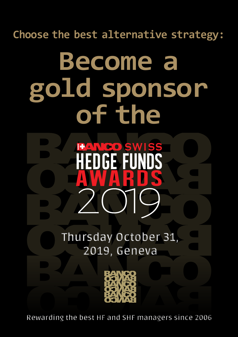**Choose the best alternative strategy:**

# **Become a gold sponsor of the**

BAWGO SWISS

Hedge Funds

HEUGE FUNUS<br>[Awards](http://www.bancoawards.com)

**Thursday October 31, 2019, Geneva**



**Rewarding the best HF and SHF managers since 2006**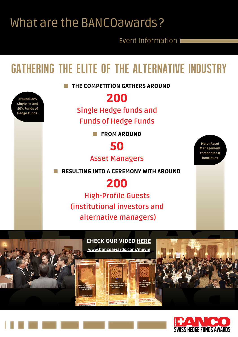### [What are the BANCOawards?](http://www.bancoawards.com)

Around 50% Single HF and 50% Funds of Hedge Funds.

Event Information

# gathering the elite of the alternative industry

**NO THE COMPETITION GATHERS AROUND** 

### 200

**Single Hedge funds and** 

**Funds of Hedge Funds**

**N FROM AROUND** 



**Asset Managers**

n Resulting into a ceremony with around

### 200

**High-Profile Guests (institutional investors and alternative managers)**





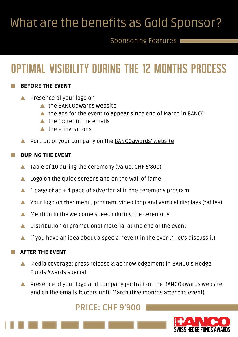# [What are the benefits as Gold Sponsor?](http://www.bancoawards.com)

### Sponsoring Features

# Optimal Visibility during the 12 months process

#### **BEFORE THE EVENT**

- Presence of your logo on
	- $\triangle$  the [BANCOawards website](http://www.bancoawards.com)
	- $\blacktriangle$  the ads for the event to appear since end of March in BANCO
	- $\triangle$  the footer in the emails
	- $\triangle$  the e-invitations
- Portrait of your company on the [BANCOawards' website](https://www.bancoawards.com/goldsponsors2018)

#### DURING THE EVENT

- Table of 10 during the ceremony ([value: CHF 5'800](https://www.bancoawards.com/tables))
- $\triangle$  Logo on the quick-screens and on the wall of fame
- 1 page of  $ad + 1$  page of advertorial in the ceremony program
- $\blacktriangle$  Your logo on the: menu, program, video loop and vertical displays (tables)
- Mention in the welcome speech during the ceremony
- $\blacktriangle$  Distribution of promotional material at the end of the event
- $\blacktriangle$  if you have an idea about a special "event in the event", let's discuss it!

#### **AFTER THE EVENT**

- A Media coverage: press release & acknowledgement in BANCO's Hedge Funds Awards special
- s Presence of your logo and company portrait on the BANCOawards website and on the emails footers until March (five months after the event)

#### **PRICE: CHF 9'900**

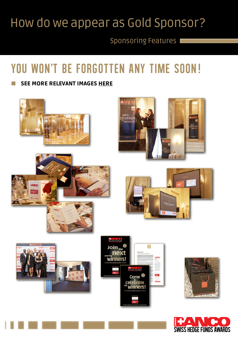### [How do we appear as Gold Sponsor?](http://www.bancoawards.com)

### Sponsoring Features

# YOU WON'T BE FORGOTTEN ANY TIME SOON!

#### SEE MORE RELEVANT IMAGES HERE